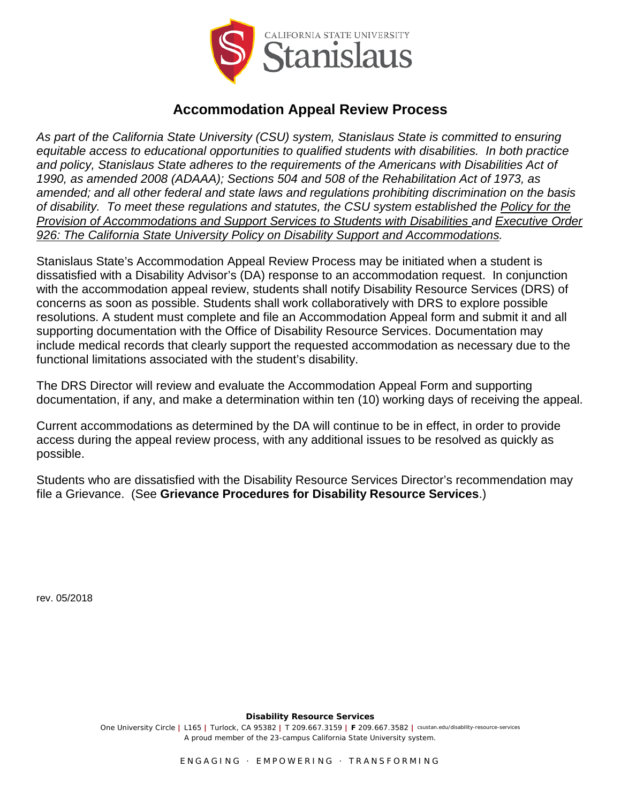

## **Accommodation Appeal Review Process**

*As part of the California State University (CSU) system, Stanislaus State is committed to ensuring equitable access to educational opportunities to qualified students with disabilities. In both practice and policy, Stanislaus State adheres to the requirements of the Americans with Disabilities Act of 1990, as amended 2008 (ADAAA); Sections 504 and 508 of the Rehabilitation Act of 1973, as amended; and all other federal and state laws and regulations prohibiting discrimination on the basis of disability. To meet these regulations and statutes, the CSU system established the Policy for the Provision of Accommodations and Support Services to Students with Disabilities and Executive Order 926: The California State University Policy on Disability Support and Accommodations.* 

Stanislaus State's Accommodation Appeal Review Process may be initiated when a student is dissatisfied with a Disability Advisor's (DA) response to an accommodation request. In conjunction with the accommodation appeal review, students shall notify Disability Resource Services (DRS) of concerns as soon as possible. Students shall work collaboratively with DRS to explore possible resolutions. A student must complete and file an Accommodation Appeal form and submit it and all supporting documentation with the Office of Disability Resource Services. Documentation may include medical records that clearly support the requested accommodation as necessary due to the functional limitations associated with the student's disability.

The DRS Director will review and evaluate the Accommodation Appeal Form and supporting documentation, if any, and make a determination within ten (10) working days of receiving the appeal.

Current accommodations as determined by the DA will continue to be in effect, in order to provide access during the appeal review process, with any additional issues to be resolved as quickly as possible.

Students who are dissatisfied with the Disability Resource Services Director's recommendation may file a Grievance. (See **Grievance Procedures for Disability Resource Services**.)

rev. 05/2018

**Disability Resource Services**

One University Circle **|** L165 **|** Turlock, CA 95382 **|** T 209.667.3159 **| F** 209.667.3582 **|** csustan.edu/disability-resource-services *A proud member of the 23-campus California State University system.*